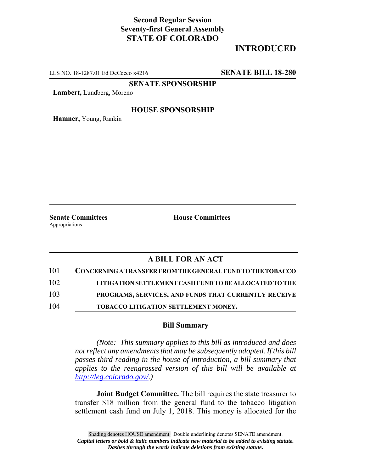## **Second Regular Session Seventy-first General Assembly STATE OF COLORADO**

# **INTRODUCED**

LLS NO. 18-1287.01 Ed DeCecco x4216 **SENATE BILL 18-280**

**SENATE SPONSORSHIP**

**Lambert,** Lundberg, Moreno

### **HOUSE SPONSORSHIP**

**Hamner,** Young, Rankin

Appropriations

**Senate Committees House Committees** 

### **A BILL FOR AN ACT**

| 101 | CONCERNING A TRANSFER FROM THE GENERAL FUND TO THE TOBACCO |
|-----|------------------------------------------------------------|
| 102 | LITIGATION SETTLEMENT CASH FUND TO BE ALLOCATED TO THE     |
| 103 | PROGRAMS, SERVICES, AND FUNDS THAT CURRENTLY RECEIVE       |
| 104 | TOBACCO LITIGATION SETTLEMENT MONEY.                       |

#### **Bill Summary**

*(Note: This summary applies to this bill as introduced and does not reflect any amendments that may be subsequently adopted. If this bill passes third reading in the house of introduction, a bill summary that applies to the reengrossed version of this bill will be available at http://leg.colorado.gov/.)*

**Joint Budget Committee.** The bill requires the state treasurer to transfer \$18 million from the general fund to the tobacco litigation settlement cash fund on July 1, 2018. This money is allocated for the